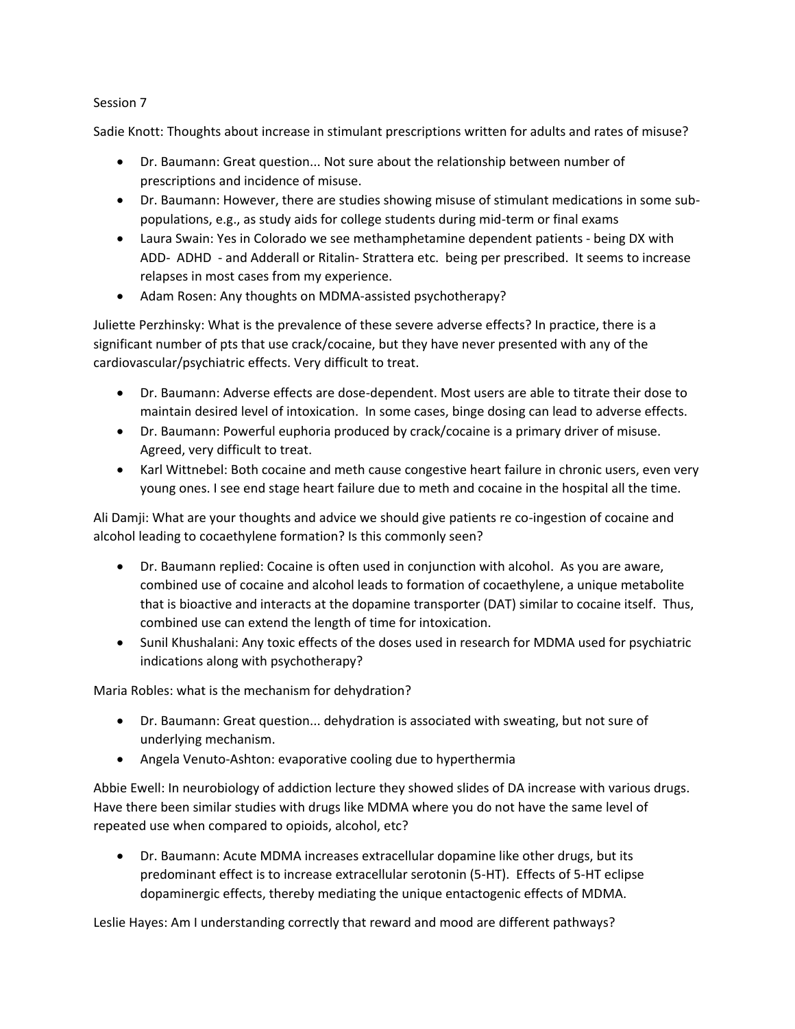## Session 7

Sadie Knott: Thoughts about increase in stimulant prescriptions written for adults and rates of misuse?

- Dr. Baumann: Great question... Not sure about the relationship between number of prescriptions and incidence of misuse.
- Dr. Baumann: However, there are studies showing misuse of stimulant medications in some subpopulations, e.g., as study aids for college students during mid-term or final exams
- Laura Swain: Yes in Colorado we see methamphetamine dependent patients being DX with ADD- ADHD - and Adderall or Ritalin- Strattera etc. being per prescribed. It seems to increase relapses in most cases from my experience.
- Adam Rosen: Any thoughts on MDMA-assisted psychotherapy?

Juliette Perzhinsky: What is the prevalence of these severe adverse effects? In practice, there is a significant number of pts that use crack/cocaine, but they have never presented with any of the cardiovascular/psychiatric effects. Very difficult to treat.

- Dr. Baumann: Adverse effects are dose-dependent. Most users are able to titrate their dose to maintain desired level of intoxication. In some cases, binge dosing can lead to adverse effects.
- Dr. Baumann: Powerful euphoria produced by crack/cocaine is a primary driver of misuse. Agreed, very difficult to treat.
- Karl Wittnebel: Both cocaine and meth cause congestive heart failure in chronic users, even very young ones. I see end stage heart failure due to meth and cocaine in the hospital all the time.

Ali Damji: What are your thoughts and advice we should give patients re co-ingestion of cocaine and alcohol leading to cocaethylene formation? Is this commonly seen?

- Dr. Baumann replied: Cocaine is often used in conjunction with alcohol. As you are aware, combined use of cocaine and alcohol leads to formation of cocaethylene, a unique metabolite that is bioactive and interacts at the dopamine transporter (DAT) similar to cocaine itself. Thus, combined use can extend the length of time for intoxication.
- Sunil Khushalani: Any toxic effects of the doses used in research for MDMA used for psychiatric indications along with psychotherapy?

Maria Robles: what is the mechanism for dehydration?

- Dr. Baumann: Great question... dehydration is associated with sweating, but not sure of underlying mechanism.
- Angela Venuto-Ashton: evaporative cooling due to hyperthermia

Abbie Ewell: In neurobiology of addiction lecture they showed slides of DA increase with various drugs. Have there been similar studies with drugs like MDMA where you do not have the same level of repeated use when compared to opioids, alcohol, etc?

• Dr. Baumann: Acute MDMA increases extracellular dopamine like other drugs, but its predominant effect is to increase extracellular serotonin (5-HT). Effects of 5-HT eclipse dopaminergic effects, thereby mediating the unique entactogenic effects of MDMA.

Leslie Hayes: Am I understanding correctly that reward and mood are different pathways?